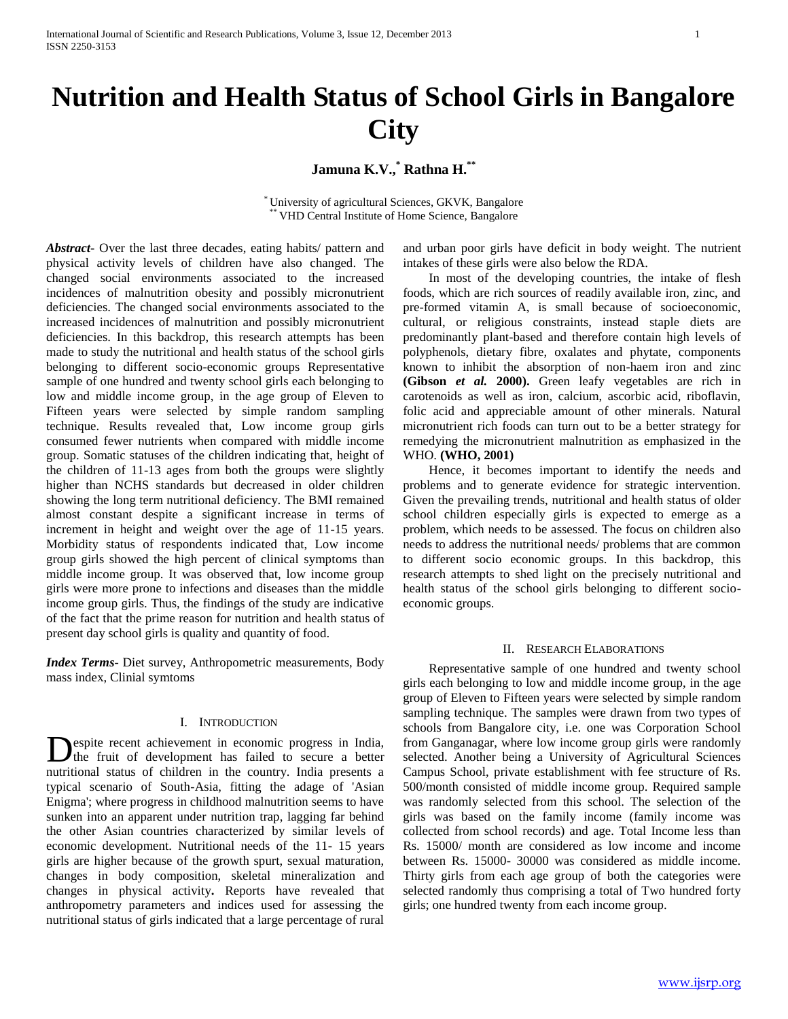# **Nutrition and Health Status of School Girls in Bangalore City**

**Jamuna K.V.,\* Rathna H.\*\***

\* University of agricultural Sciences, GKVK, Bangalore VHD Central Institute of Home Science, Bangalore

*Abstract***-** Over the last three decades, eating habits/ pattern and physical activity levels of children have also changed. The changed social environments associated to the increased incidences of malnutrition obesity and possibly micronutrient deficiencies. The changed social environments associated to the increased incidences of malnutrition and possibly micronutrient deficiencies. In this backdrop, this research attempts has been made to study the nutritional and health status of the school girls belonging to different socio-economic groups Representative sample of one hundred and twenty school girls each belonging to low and middle income group, in the age group of Eleven to Fifteen years were selected by simple random sampling technique. Results revealed that, Low income group girls consumed fewer nutrients when compared with middle income group. Somatic statuses of the children indicating that, height of the children of 11-13 ages from both the groups were slightly higher than NCHS standards but decreased in older children showing the long term nutritional deficiency. The BMI remained almost constant despite a significant increase in terms of increment in height and weight over the age of 11-15 years. Morbidity status of respondents indicated that, Low income group girls showed the high percent of clinical symptoms than middle income group. It was observed that, low income group girls were more prone to infections and diseases than the middle income group girls. Thus, the findings of the study are indicative of the fact that the prime reason for nutrition and health status of present day school girls is quality and quantity of food.

*Index Terms*- Diet survey, Anthropometric measurements, Body mass index, Clinial symtoms

#### I. INTRODUCTION

Despite recent achievement in economic progress in India,<br>the fruit of development has failed to secure a better the fruit of development has failed to secure a better nutritional status of children in the country. India presents a typical scenario of South-Asia, fitting the adage of 'Asian Enigma'; where progress in childhood malnutrition seems to have sunken into an apparent under nutrition trap, lagging far behind the other Asian countries characterized by similar levels of economic development. Nutritional needs of the 11- 15 years girls are higher because of the growth spurt, sexual maturation, changes in body composition, skeletal mineralization and changes in physical activity**.** Reports have revealed that anthropometry parameters and indices used for assessing the nutritional status of girls indicated that a large percentage of rural

and urban poor girls have deficit in body weight. The nutrient intakes of these girls were also below the RDA.

 In most of the developing countries, the intake of flesh foods, which are rich sources of readily available iron, zinc, and pre-formed vitamin A, is small because of socioeconomic, cultural, or religious constraints, instead staple diets are predominantly plant-based and therefore contain high levels of polyphenols, dietary fibre, oxalates and phytate, components known to inhibit the absorption of non-haem iron and zinc **(Gibson** *et al.* **2000).** Green leafy vegetables are rich in carotenoids as well as iron, calcium, ascorbic acid, riboflavin, folic acid and appreciable amount of other minerals. Natural micronutrient rich foods can turn out to be a better strategy for remedying the micronutrient malnutrition as emphasized in the WHO. **(WHO, 2001)**

 Hence, it becomes important to identify the needs and problems and to generate evidence for strategic intervention. Given the prevailing trends, nutritional and health status of older school children especially girls is expected to emerge as a problem, which needs to be assessed. The focus on children also needs to address the nutritional needs/ problems that are common to different socio economic groups. In this backdrop, this research attempts to shed light on the precisely nutritional and health status of the school girls belonging to different socioeconomic groups.

#### II. RESEARCH ELABORATIONS

 Representative sample of one hundred and twenty school girls each belonging to low and middle income group, in the age group of Eleven to Fifteen years were selected by simple random sampling technique. The samples were drawn from two types of schools from Bangalore city, i.e. one was Corporation School from Ganganagar, where low income group girls were randomly selected. Another being a University of Agricultural Sciences Campus School, private establishment with fee structure of Rs. 500/month consisted of middle income group. Required sample was randomly selected from this school. The selection of the girls was based on the family income (family income was collected from school records) and age. Total Income less than Rs. 15000/ month are considered as low income and income between Rs. 15000- 30000 was considered as middle income. Thirty girls from each age group of both the categories were selected randomly thus comprising a total of Two hundred forty girls; one hundred twenty from each income group.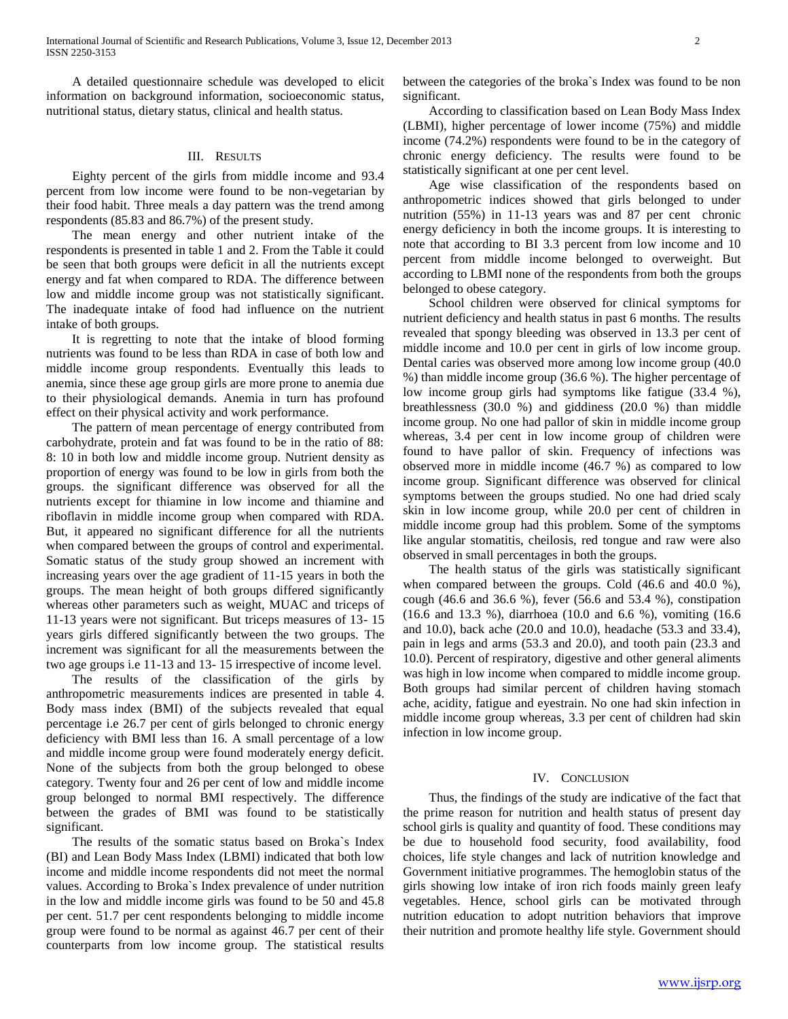A detailed questionnaire schedule was developed to elicit information on background information, socioeconomic status, nutritional status, dietary status, clinical and health status.

#### III. RESULTS

 Eighty percent of the girls from middle income and 93.4 percent from low income were found to be non-vegetarian by their food habit. Three meals a day pattern was the trend among respondents (85.83 and 86.7%) of the present study.

 The mean energy and other nutrient intake of the respondents is presented in table 1 and 2. From the Table it could be seen that both groups were deficit in all the nutrients except energy and fat when compared to RDA. The difference between low and middle income group was not statistically significant. The inadequate intake of food had influence on the nutrient intake of both groups.

 It is regretting to note that the intake of blood forming nutrients was found to be less than RDA in case of both low and middle income group respondents. Eventually this leads to anemia, since these age group girls are more prone to anemia due to their physiological demands. Anemia in turn has profound effect on their physical activity and work performance.

 The pattern of mean percentage of energy contributed from carbohydrate, protein and fat was found to be in the ratio of 88: 8: 10 in both low and middle income group. Nutrient density as proportion of energy was found to be low in girls from both the groups. the significant difference was observed for all the nutrients except for thiamine in low income and thiamine and riboflavin in middle income group when compared with RDA. But, it appeared no significant difference for all the nutrients when compared between the groups of control and experimental. Somatic status of the study group showed an increment with increasing years over the age gradient of 11-15 years in both the groups. The mean height of both groups differed significantly whereas other parameters such as weight, MUAC and triceps of 11-13 years were not significant. But triceps measures of 13- 15 years girls differed significantly between the two groups. The increment was significant for all the measurements between the two age groups i.e 11-13 and 13- 15 irrespective of income level.

 The results of the classification of the girls by anthropometric measurements indices are presented in table 4. Body mass index (BMI) of the subjects revealed that equal percentage i.e 26.7 per cent of girls belonged to chronic energy deficiency with BMI less than 16. A small percentage of a low and middle income group were found moderately energy deficit. None of the subjects from both the group belonged to obese category. Twenty four and 26 per cent of low and middle income group belonged to normal BMI respectively. The difference between the grades of BMI was found to be statistically significant.

 The results of the somatic status based on Broka`s Index (BI) and Lean Body Mass Index (LBMI) indicated that both low income and middle income respondents did not meet the normal values. According to Broka`s Index prevalence of under nutrition in the low and middle income girls was found to be 50 and 45.8 per cent. 51.7 per cent respondents belonging to middle income group were found to be normal as against 46.7 per cent of their counterparts from low income group. The statistical results

between the categories of the broka`s Index was found to be non significant.

 According to classification based on Lean Body Mass Index (LBMI), higher percentage of lower income (75%) and middle income (74.2%) respondents were found to be in the category of chronic energy deficiency. The results were found to be statistically significant at one per cent level.

 Age wise classification of the respondents based on anthropometric indices showed that girls belonged to under nutrition (55%) in 11-13 years was and 87 per cent chronic energy deficiency in both the income groups. It is interesting to note that according to BI 3.3 percent from low income and 10 percent from middle income belonged to overweight. But according to LBMI none of the respondents from both the groups belonged to obese category.

 School children were observed for clinical symptoms for nutrient deficiency and health status in past 6 months. The results revealed that spongy bleeding was observed in 13.3 per cent of middle income and 10.0 per cent in girls of low income group. Dental caries was observed more among low income group (40.0 %) than middle income group (36.6 %). The higher percentage of low income group girls had symptoms like fatigue (33.4 %), breathlessness (30.0 %) and giddiness (20.0 %) than middle income group. No one had pallor of skin in middle income group whereas, 3.4 per cent in low income group of children were found to have pallor of skin. Frequency of infections was observed more in middle income (46.7 %) as compared to low income group. Significant difference was observed for clinical symptoms between the groups studied. No one had dried scaly skin in low income group, while 20.0 per cent of children in middle income group had this problem. Some of the symptoms like angular stomatitis, cheilosis, red tongue and raw were also observed in small percentages in both the groups.

 The health status of the girls was statistically significant when compared between the groups. Cold (46.6 and 40.0 %), cough (46.6 and 36.6 %), fever (56.6 and 53.4 %), constipation (16.6 and 13.3 %), diarrhoea (10.0 and 6.6 %), vomiting (16.6 and 10.0), back ache (20.0 and 10.0), headache (53.3 and 33.4), pain in legs and arms (53.3 and 20.0), and tooth pain (23.3 and 10.0). Percent of respiratory, digestive and other general aliments was high in low income when compared to middle income group. Both groups had similar percent of children having stomach ache, acidity, fatigue and eyestrain. No one had skin infection in middle income group whereas, 3.3 per cent of children had skin infection in low income group.

#### IV. CONCLUSION

 Thus, the findings of the study are indicative of the fact that the prime reason for nutrition and health status of present day school girls is quality and quantity of food. These conditions may be due to household food security, food availability, food choices, life style changes and lack of nutrition knowledge and Government initiative programmes. The hemoglobin status of the girls showing low intake of iron rich foods mainly green leafy vegetables. Hence, school girls can be motivated through nutrition education to adopt nutrition behaviors that improve their nutrition and promote healthy life style. Government should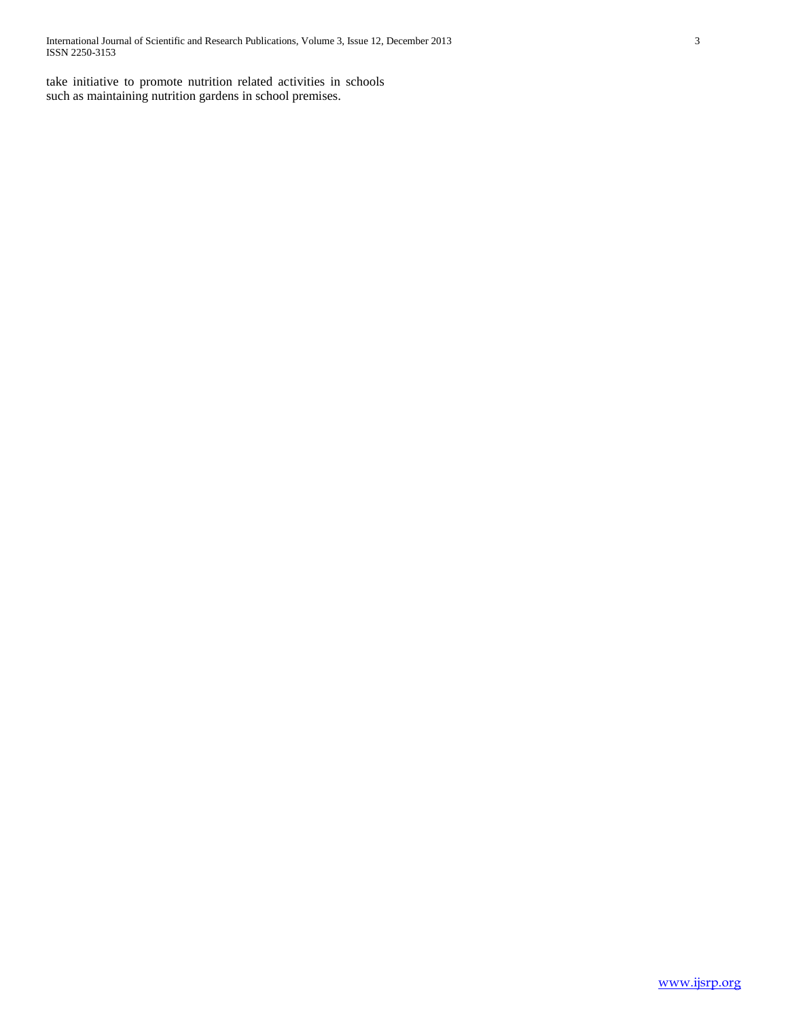take initiative to promote nutrition related activities in schools such as maintaining nutrition gardens in school premises.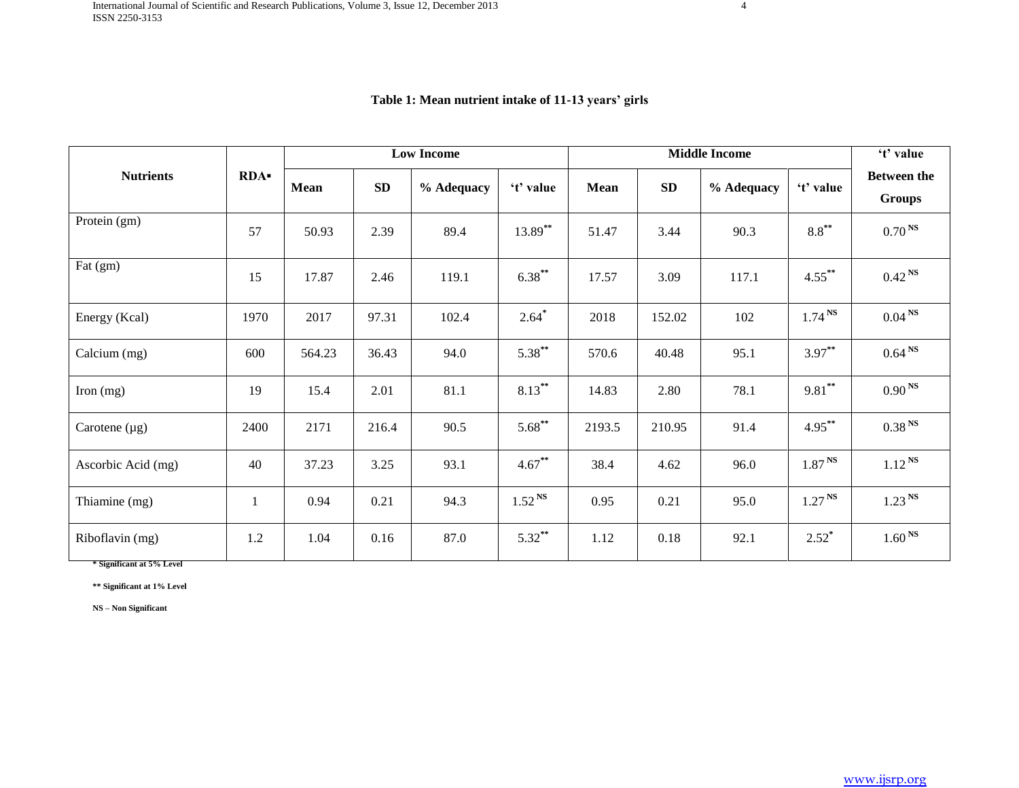|                    |            |        |           | <b>Low Income</b> |              | <b>Middle Income</b> |           |            | 't' value          |                                     |
|--------------------|------------|--------|-----------|-------------------|--------------|----------------------|-----------|------------|--------------------|-------------------------------------|
| <b>Nutrients</b>   | <b>RDA</b> | Mean   | <b>SD</b> | % Adequacy        | 't' value    | Mean                 | <b>SD</b> | % Adequacy | 't' value          | <b>Between the</b><br><b>Groups</b> |
| Protein (gm)       | 57         | 50.93  | 2.39      | 89.4              | $13.89***$   | 51.47                | 3.44      | 90.3       | $8.8***$           | 0.70 <sup>NS</sup>                  |
| Fat (gm)           | 15         | 17.87  | 2.46      | 119.1             | $6.38***$    | 17.57                | 3.09      | 117.1      | $4.55***$          | $0.42^{N}$                          |
| Energy (Kcal)      | 1970       | 2017   | 97.31     | 102.4             | $2.64*$      | 2018                 | 152.02    | 102        | 1.74 <sup>NS</sup> | 0.04 <sup>NS</sup>                  |
| Calcium (mg)       | 600        | 564.23 | 36.43     | 94.0              | $5.38***$    | 570.6                | 40.48     | 95.1       | $3.97***$          | 0.64 <sup>NS</sup>                  |
| Iron $(mg)$        | 19         | 15.4   | 2.01      | 81.1              | $8.13***$    | 14.83                | 2.80      | 78.1       | $9.81***$          | 0.90 <sup>NS</sup>                  |
| Carotene $(\mu g)$ | 2400       | 2171   | 216.4     | 90.5              | $5.68***$    | 2193.5               | 210.95    | 91.4       | $4.95***$          | 0.38 <sup>NS</sup>                  |
| Ascorbic Acid (mg) | 40         | 37.23  | 3.25      | 93.1              | $4.67***$    | 38.4                 | 4.62      | 96.0       | 1.87 <sup>NS</sup> | $1.12^{N}$                          |
| Thiamine (mg)      |            | 0.94   | 0.21      | 94.3              | $1.52^{N_S}$ | 0.95                 | 0.21      | 95.0       | 1.27 <sup>NS</sup> | 1.23 <sup>NS</sup>                  |
| Riboflavin (mg)    | 1.2        | 1.04   | 0.16      | 87.0              | $5.32***$    | 1.12                 | 0.18      | 92.1       | $2.52^*$           | 1.60 <sup>NS</sup>                  |

## **Table 1: Mean nutrient intake of 11-13 years' girls**

**\* Significant at 5% Level**

**\*\* Significant at 1% Level**

**NS – Non Significant**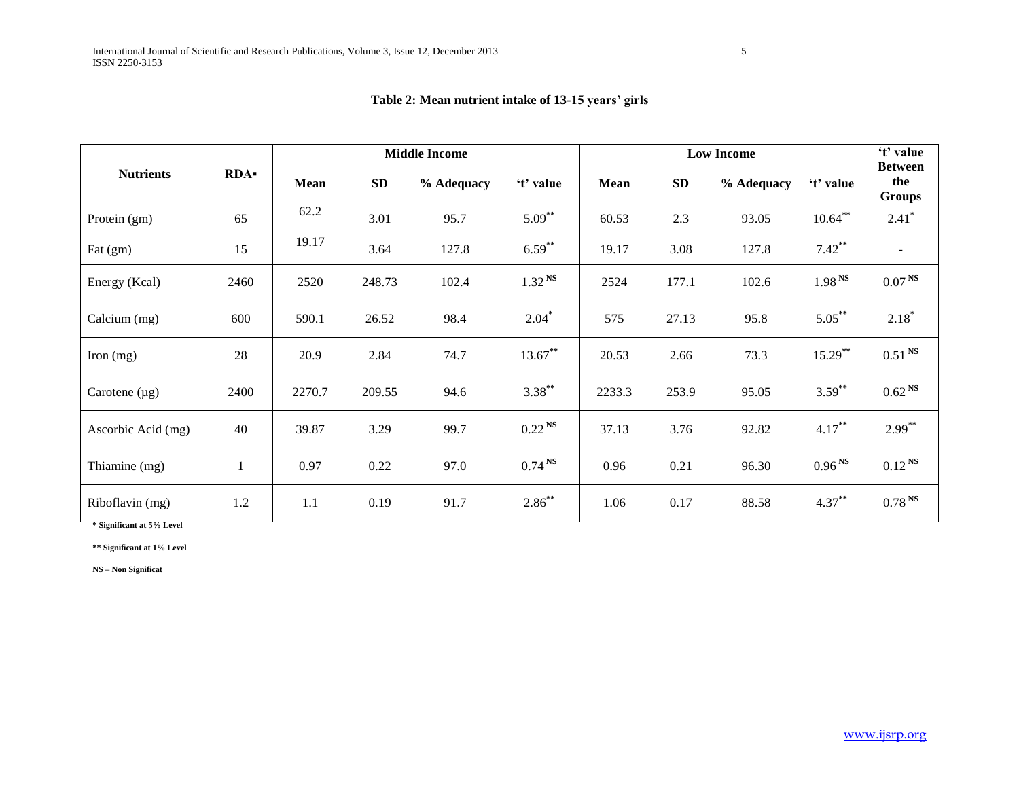|                    |            |        |            | <b>Middle Income</b> |                    | Low Income |       |            |                    |                                 |  |
|--------------------|------------|--------|------------|----------------------|--------------------|------------|-------|------------|--------------------|---------------------------------|--|
| <b>Nutrients</b>   | <b>RDA</b> | Mean   | ${\bf SD}$ | % Adequacy           | 't' value          | Mean       | SD    | % Adequacy | 't' value          | <b>Between</b><br>the<br>Groups |  |
| Protein (gm)       | 65         | 62.2   | 3.01       | 95.7                 | $5.09***$          | 60.53      | 2.3   | 93.05      | $10.64***$         | $2.41*$                         |  |
| Fat (gm)           | 15         | 19.17  | 3.64       | 127.8                | $6.59***$          | 19.17      | 3.08  | 127.8      | $7.42***$          |                                 |  |
| Energy (Kcal)      | 2460       | 2520   | 248.73     | 102.4                | 1.32 <sup>NS</sup> | 2524       | 177.1 | 102.6      | 1.98 <sup>NS</sup> | 0.07 <sup>NS</sup>              |  |
| Calcium (mg)       | 600        | 590.1  | 26.52      | 98.4                 | $2.04*$            | 575        | 27.13 | 95.8       | $5.05***$          | $2.18*$                         |  |
| Iron $(mg)$        | 28         | 20.9   | 2.84       | 74.7                 | $13.67***$         | 20.53      | 2.66  | 73.3       | $15.29$ **         | $0.51$ <sup>NS</sup>            |  |
| Carotene $(\mu g)$ | 2400       | 2270.7 | 209.55     | 94.6                 | $3.38***$          | 2233.3     | 253.9 | 95.05      | $3.59***$          | 0.62 <sup>NS</sup>              |  |
| Ascorbic Acid (mg) | 40         | 39.87  | 3.29       | 99.7                 | 0.22 <sup>NS</sup> | 37.13      | 3.76  | 92.82      | $4.17***$          | $2.99***$                       |  |
| Thiamine (mg)      |            | 0.97   | 0.22       | 97.0                 | 0.74 <sup>NS</sup> | 0.96       | 0.21  | 96.30      | 0.96 <sup>NS</sup> | 0.12 <sup>NS</sup>              |  |
| Riboflavin (mg)    | 1.2        | 1.1    | 0.19       | 91.7                 | $2.86***$          | 1.06       | 0.17  | 88.58      | $4.37***$          | 0.78 <sup>NS</sup>              |  |

# **Table 2: Mean nutrient intake of 13-15 years' girls**

**\* Significant at 5% Level**

**\*\* Significant at 1% Level**

**NS – Non Significat**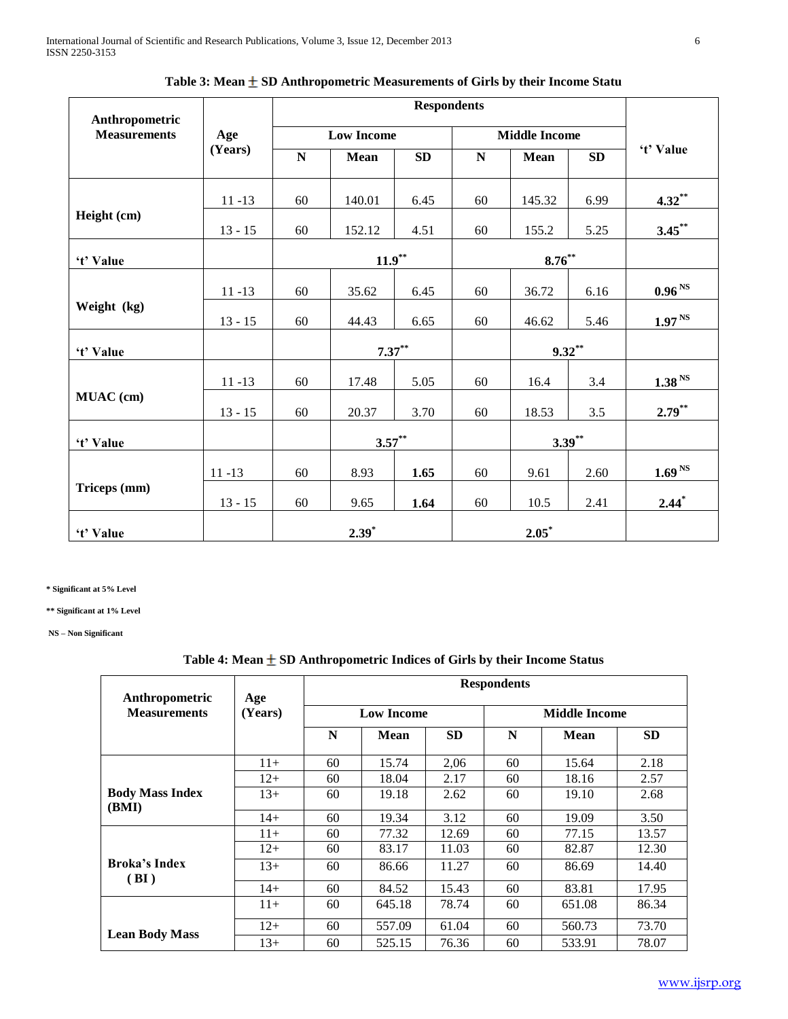| Anthropometric      |           |    |                   |           |             |                      |           |                     |
|---------------------|-----------|----|-------------------|-----------|-------------|----------------------|-----------|---------------------|
| <b>Measurements</b> | Age       |    | <b>Low Income</b> |           |             | <b>Middle Income</b> |           |                     |
|                     | (Years)   | N  | Mean              | SD        | $\mathbf N$ | <b>Mean</b>          | <b>SD</b> | 't' Value           |
|                     | $11 - 13$ | 60 | 140.01            | 6.45      | 60          | 145.32               | 6.99      | $4.32**$            |
| Height (cm)         | $13 - 15$ | 60 | 152.12            | 4.51      | 60          | 155.2                | 5.25      | $3.45$ **           |
| 't' Value           |           |    | $11.9***$         |           | $8.76***$   |                      |           |                     |
|                     | $11 - 13$ | 60 | 35.62             | 6.45      | 60          | 36.72                | 6.16      | 0.96 <sup>NS</sup>  |
| Weight (kg)         | $13 - 15$ | 60 | 44.43             | 6.65      | 60          | 46.62                | 5.46      | $1.97^{\text{ NS}}$ |
| 't' Value           |           |    |                   | $7.37***$ | $9.32**$    |                      |           |                     |
|                     | $11 - 13$ | 60 | 17.48             | 5.05      | 60          | 16.4                 | 3.4       | 1.38 <sup>NS</sup>  |
| MUAC (cm)           | $13 - 15$ | 60 | 20.37             | 3.70      | 60          | 18.53                | 3.5       | $2.79***$           |
| 't' Value           |           |    | $3.57***$         |           |             |                      | $3.39***$ |                     |
|                     | $11 - 13$ | 60 | 8.93              | 1.65      | 60          | 9.61                 | 2.60      | 1.69 <sup>NS</sup>  |
| Triceps (mm)        | $13 - 15$ | 60 | 9.65              | 1.64      | 60          | 10.5                 | 2.41      | $2.44*$             |
| 't' Value           |           |    | $2.39*$           |           |             | $2.05*$              |           |                     |

| Table 3: Mean $\pm$ SD Anthropometric Measurements of Girls by their Income Statu |  |  |  |  |
|-----------------------------------------------------------------------------------|--|--|--|--|
|-----------------------------------------------------------------------------------|--|--|--|--|

**\* Significant at 5% Level** 

**\*\* Significant at 1% Level** 

**NS – Non Significant**

# Table 4: Mean  $\pm$  SD Anthropometric Indices of Girls by their Income Status

|                                       |                |    |                   |           | <b>Respondents</b> |               |           |
|---------------------------------------|----------------|----|-------------------|-----------|--------------------|---------------|-----------|
| Anthropometric<br><b>Measurements</b> | Age<br>(Years) |    | <b>Low Income</b> |           |                    | Middle Income |           |
|                                       |                | N  | <b>Mean</b>       | <b>SD</b> | N                  | Mean          | <b>SD</b> |
|                                       | $11+$          | 60 | 15.74             | 2,06      | 60                 | 15.64         | 2.18      |
|                                       | $12+$          | 60 | 18.04             | 2.17      | 60                 | 18.16         | 2.57      |
| <b>Body Mass Index</b>                | $13+$          | 60 | 19.18             | 2.62      | 60                 | 19.10         | 2.68      |
| (BMI)                                 | $14+$          | 60 | 19.34             | 3.12      | 60                 | 19.09         | 3.50      |
|                                       | $11+$          | 60 | 77.32             | 12.69     | 60                 | 77.15         | 13.57     |
|                                       | $12+$          | 60 | 83.17             | 11.03     | 60                 | 82.87         | 12.30     |
| <b>Broka's Index</b><br>(BI)          | $13+$          | 60 | 86.66             | 11.27     | 60                 | 86.69         | 14.40     |
|                                       | $14+$          | 60 | 84.52             | 15.43     | 60                 | 83.81         | 17.95     |
|                                       | $11+$          | 60 | 645.18            | 78.74     | 60                 | 651.08        | 86.34     |
|                                       | $12+$          | 60 | 557.09            | 61.04     | 60                 | 560.73        | 73.70     |
| <b>Lean Body Mass</b>                 | $13+$          | 60 | 525.15            | 76.36     | 60                 | 533.91        | 78.07     |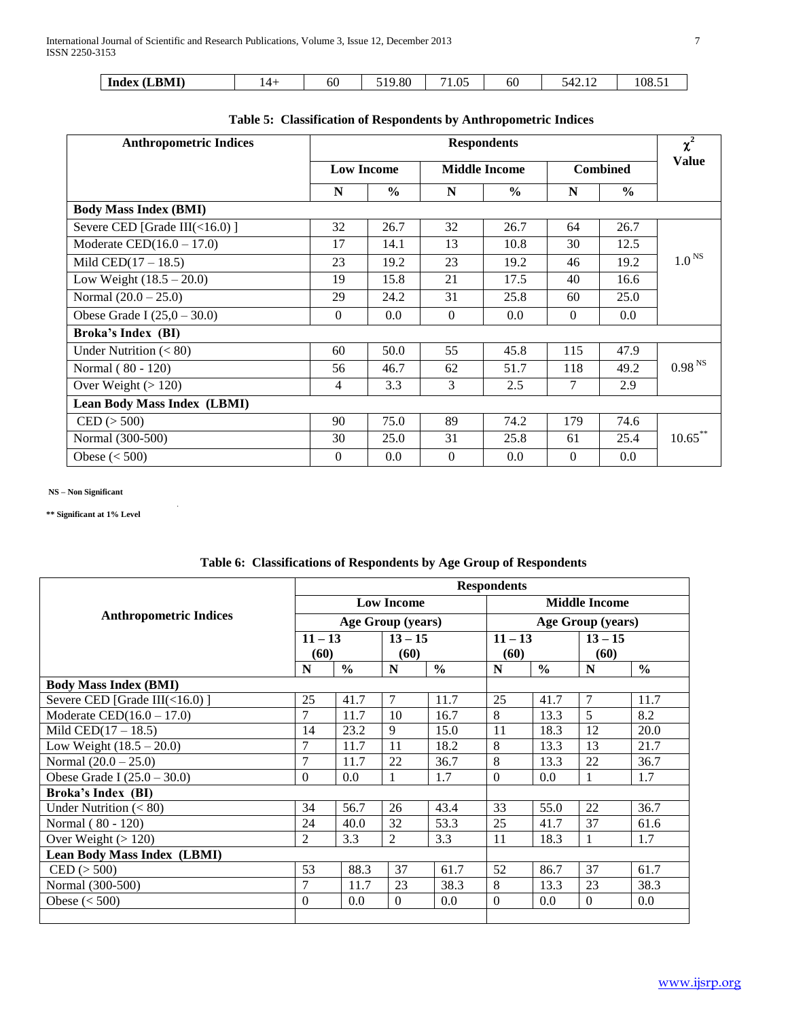| 60<br>.LBMI)<br>ى 2.<br>Index | 9.80<br>10 | $\Omega$<br>$\cdot$ | 6U | ٦4<br>T4.L | -<br>108. |
|-------------------------------|------------|---------------------|----|------------|-----------|
|-------------------------------|------------|---------------------|----|------------|-----------|

| <b>Anthropometric Indices</b>      |                   |               | $\chi^2$             |               |                 |               |                    |
|------------------------------------|-------------------|---------------|----------------------|---------------|-----------------|---------------|--------------------|
|                                    | <b>Low Income</b> |               | <b>Middle Income</b> |               | <b>Combined</b> |               | <b>Value</b>       |
|                                    | N                 | $\frac{6}{6}$ | N                    | $\frac{6}{6}$ | N               | $\frac{6}{6}$ |                    |
| <b>Body Mass Index (BMI)</b>       |                   |               |                      |               |                 |               |                    |
| Severe CED [Grade III(<16.0)]      | 32                | 26.7          | 32                   | 26.7          | 64              | 26.7          |                    |
| Moderate CED $(16.0 - 17.0)$       | 17                | 14.1          | 13                   | 10.8          | 30              | 12.5          |                    |
| Mild CED $(17 - 18.5)$             | 23                | 19.2          | 23                   | 19.2          | 46              | 19.2          | 1.0 <sup>NS</sup>  |
| Low Weight $(18.5 - 20.0)$         | 19                | 15.8          | 21                   | 17.5          | 40              | 16.6          |                    |
| Normal $(20.0 – 25.0)$             | 29                | 24.2          | 31                   | 25.8          | 60              | 25.0          |                    |
| Obese Grade I $(25,0 - 30.0)$      | $\overline{0}$    | $0.0\,$       | $\boldsymbol{0}$     | $0.0\,$       | $\overline{0}$  | 0.0           |                    |
| Broka's Index (BI)                 |                   |               |                      |               |                 |               |                    |
| Under Nutrition $(< 80)$           | 60                | 50.0          | 55                   | 45.8          | 115             | 47.9          |                    |
| Normal (80 - 120)                  | 56                | 46.7          | 62                   | 51.7          | 118             | 49.2          | 0.98 <sup>NS</sup> |
| Over Weight $(>120)$               | 4                 | 3.3           | 3                    | 2.5           | 7               | 2.9           |                    |
| <b>Lean Body Mass Index (LBMI)</b> |                   |               |                      |               |                 |               |                    |
| $\text{CED} (> 500)$               | 90                | 75.0          | 89                   | 74.2          | 179             | 74.6          |                    |
| Normal (300-500)                   | 30                | 25.0          | 31                   | 25.8          | 61              | 25.4          | $10.65$ **         |
| Obese $(< 500$ )                   | $\mathbf{0}$      | 0.0           | $\mathbf{0}$         | $0.0\,$       | $\theta$        | 0.0           |                    |

|  |  |  | Table 5: Classification of Respondents by Anthropometric Indices |
|--|--|--|------------------------------------------------------------------|
|--|--|--|------------------------------------------------------------------|

**NS – Non Significant**

**\*\* Significant at 1% Level**

|                                    | <b>Respondents</b> |               |                   |               |                   |                      |           |               |  |
|------------------------------------|--------------------|---------------|-------------------|---------------|-------------------|----------------------|-----------|---------------|--|
|                                    | <b>Low Income</b>  |               |                   |               |                   | <b>Middle Income</b> |           |               |  |
| <b>Anthropometric Indices</b>      |                    |               | Age Group (years) |               | Age Group (years) |                      |           |               |  |
|                                    | $11 - 13$          |               | $13 - 15$         |               | $11 - 13$         |                      | $13 - 15$ |               |  |
|                                    | (60)               |               | (60)              |               | (60)              |                      | (60)      |               |  |
|                                    | N                  | $\frac{6}{6}$ | N                 | $\frac{0}{0}$ | N                 | $\frac{0}{0}$        | N         | $\frac{6}{6}$ |  |
| <b>Body Mass Index (BMI)</b>       |                    |               |                   |               |                   |                      |           |               |  |
| Severe CED [Grade III(<16.0)]      | 25                 | 41.7          | 7                 | 11.7          | 25                | 41.7                 | 7         | 11.7          |  |
| Moderate CED $(16.0 - 17.0)$       | 7                  | 11.7          | 10                | 16.7          | 8                 | 13.3                 | 5         | 8.2           |  |
| Mild CED $(17 - 18.5)$             | 14                 | 23.2          | 9                 | 15.0          | 11                | 18.3                 | 12        | 20.0          |  |
| Low Weight $(18.5 - 20.0)$         | 7                  | 11.7          | 11                | 18.2          | 8                 | 13.3                 | 13        | 21.7          |  |
| Normal $(20.0 – 25.0)$             | $\overline{7}$     | 11.7          | 22                | 36.7          | 8                 | 13.3                 | 22        | 36.7          |  |
| Obese Grade I $(25.0 - 30.0)$      | $\mathbf{0}$       | 0.0           | 1                 | 1.7           | $\Omega$          | 0.0                  |           | 1.7           |  |
| <b>Broka's Index (BI)</b>          |                    |               |                   |               |                   |                      |           |               |  |
| Under Nutrition $(< 80)$           | 34                 | 56.7          | 26                | 43.4          | 33                | 55.0                 | 22        | 36.7          |  |
| Normal (80 - 120)                  | 24                 | 40.0          | 32                | 53.3          | 25                | 41.7                 | 37        | 61.6          |  |
| Over Weight $(>120)$               | $\overline{2}$     | 3.3           | $\overline{2}$    | 3.3           | 11                | 18.3                 | 1         | 1.7           |  |
| <b>Lean Body Mass Index (LBMI)</b> |                    |               |                   |               |                   |                      |           |               |  |
| $\mathrm{CED}$ ( $>$ 500)          | 53                 | 88.3          | 37                | 61.7          | 52                | 86.7                 | 37        | 61.7          |  |
| Normal (300-500)                   | 7                  | 11.7          | 23                | 38.3          | 8                 | 13.3                 | 23        | 38.3          |  |
| Obese $(< 500$ )                   | $\mathbf{0}$       | 0.0           | $\Omega$          | 0.0           | $\theta$          | 0.0                  | $\Omega$  | 0.0           |  |
|                                    |                    |               |                   |               |                   |                      |           |               |  |

# **Table 6: Classifications of Respondents by Age Group of Respondents**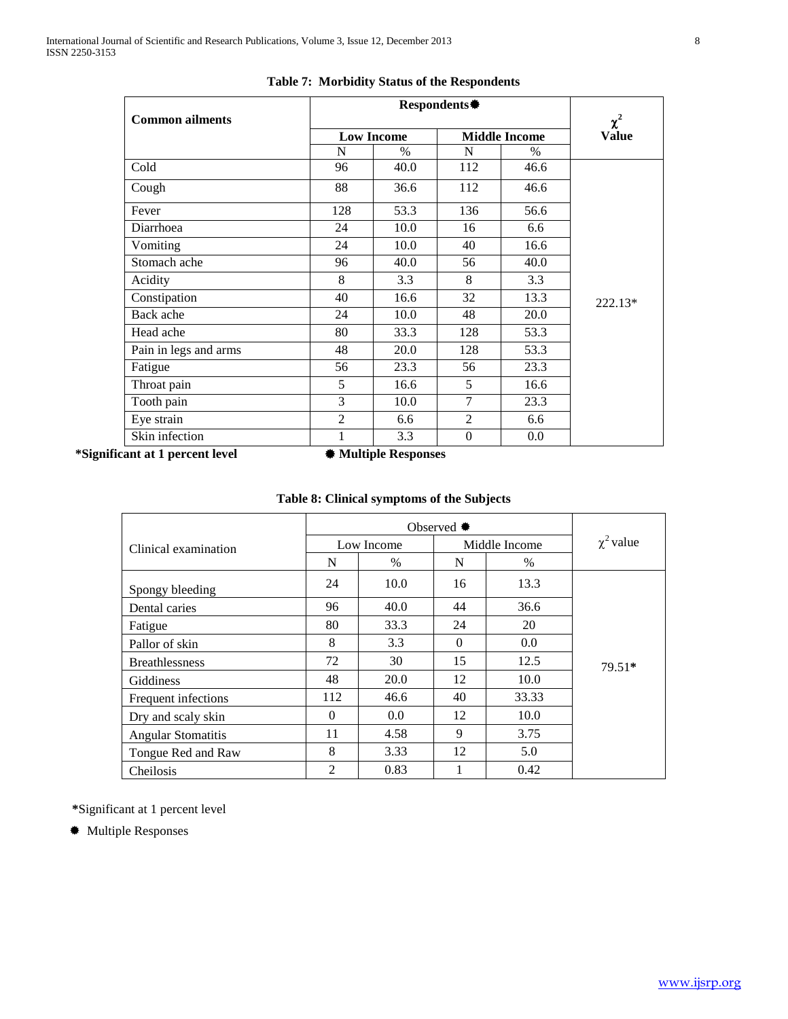| <b>Common ailments</b> |                | Respondents* |                  |                      |                          |  |  |
|------------------------|----------------|--------------|------------------|----------------------|--------------------------|--|--|
|                        |                | Low Income   |                  | <b>Middle Income</b> | $\chi^2$<br><b>Value</b> |  |  |
|                        | N              | $\%$         | N                | $\%$                 |                          |  |  |
| Cold                   | 96             | 40.0         | 112              | 46.6                 |                          |  |  |
| Cough                  | 88             | 36.6         | 112              | 46.6                 |                          |  |  |
| Fever                  | 128            | 53.3         | 136              | 56.6                 |                          |  |  |
| Diarrhoea              | 24             | 10.0         | 16               | 6.6                  |                          |  |  |
| Vomiting               | 24             | 10.0         | 40               | 16.6                 |                          |  |  |
| Stomach ache           | 96             | 40.0         | 56               | 40.0                 |                          |  |  |
| Acidity                | 8              | 3.3          | 8                | 3.3                  |                          |  |  |
| Constipation           | 40             | 16.6         | 32               | 13.3                 | 222.13*                  |  |  |
| Back ache              | 24             | 10.0         | 48               | 20.0                 |                          |  |  |
| Head ache              | 80             | 33.3         | 128              | 53.3                 |                          |  |  |
| Pain in legs and arms  | 48             | 20.0         | 128              | 53.3                 |                          |  |  |
| Fatigue                | 56             | 23.3         | 56               | 23.3                 |                          |  |  |
| Throat pain            | 5              | 16.6         | 5                | 16.6                 |                          |  |  |
| Tooth pain             | 3              | 10.0         | 7                | 23.3                 |                          |  |  |
| Eye strain             | $\overline{c}$ | 6.6          | $\overline{2}$   | 6.6                  |                          |  |  |
| Skin infection         | 1              | 3.3          | $\boldsymbol{0}$ | 0.0                  |                          |  |  |

### **Table 7: Morbidity Status of the Respondents**

**\*Significant at 1 percent level**  $\qquad$  **<b>#** Multiple Responses

# **Table 8: Clinical symptoms of the Subjects**

| Clinical examination      |                | Low Income |          | Middle Income | $\chi^2$ value |  |
|---------------------------|----------------|------------|----------|---------------|----------------|--|
|                           | N              | $\%$       | N        | $\%$          |                |  |
| Spongy bleeding           | 24             | 10.0       | 16       | 13.3          |                |  |
| Dental caries             | 96             | 40.0       | 44       | 36.6          |                |  |
| Fatigue                   | 80             | 33.3       | 24       | 20            |                |  |
| Pallor of skin            | 8              | 3.3        | $\Omega$ | 0.0           |                |  |
| <b>Breathlessness</b>     | 72             | 30         | 15       | 12.5          | $79.51*$       |  |
| Giddiness                 | 48             | 20.0       | 12       | 10.0          |                |  |
| Frequent infections       | 112            | 46.6       | 40       | 33.33         |                |  |
| Dry and scaly skin        | $\Omega$       | 0.0        | 12       | 10.0          |                |  |
| <b>Angular Stomatitis</b> | 11             | 4.58       | 9        | 3.75          |                |  |
| Tongue Red and Raw        | 8              | 3.33       | 12       | 5.0           |                |  |
| Cheilosis                 | $\overline{2}$ | 0.83       |          | 0.42          |                |  |

**\***Significant at 1 percent level

Multiple Responses